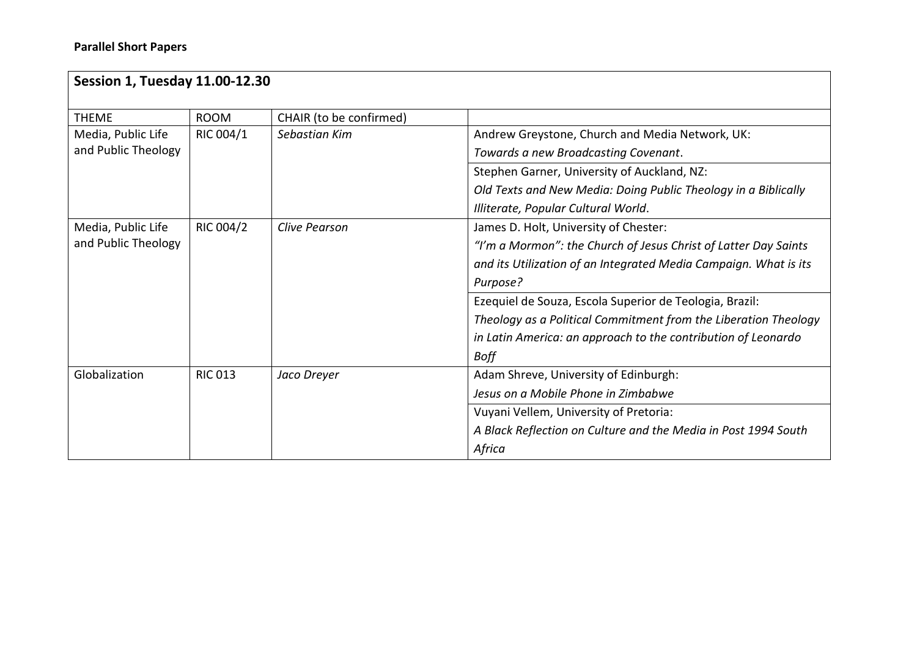| <b>Session 1, Tuesday 11.00-12.30</b> |                |                         |                                                                  |  |  |
|---------------------------------------|----------------|-------------------------|------------------------------------------------------------------|--|--|
| <b>THEME</b>                          | <b>ROOM</b>    | CHAIR (to be confirmed) |                                                                  |  |  |
| Media, Public Life                    | RIC 004/1      | Sebastian Kim           | Andrew Greystone, Church and Media Network, UK:                  |  |  |
| and Public Theology                   |                |                         | Towards a new Broadcasting Covenant.                             |  |  |
|                                       |                |                         | Stephen Garner, University of Auckland, NZ:                      |  |  |
|                                       |                |                         | Old Texts and New Media: Doing Public Theology in a Biblically   |  |  |
|                                       |                |                         | Illiterate, Popular Cultural World.                              |  |  |
| Media, Public Life                    | RIC 004/2      | Clive Pearson           | James D. Holt, University of Chester:                            |  |  |
| and Public Theology                   |                |                         | "I'm a Mormon": the Church of Jesus Christ of Latter Day Saints  |  |  |
|                                       |                |                         | and its Utilization of an Integrated Media Campaign. What is its |  |  |
|                                       |                |                         | Purpose?                                                         |  |  |
|                                       |                |                         | Ezequiel de Souza, Escola Superior de Teologia, Brazil:          |  |  |
|                                       |                |                         | Theology as a Political Commitment from the Liberation Theology  |  |  |
|                                       |                |                         | in Latin America: an approach to the contribution of Leonardo    |  |  |
|                                       |                |                         | <b>Boff</b>                                                      |  |  |
| Globalization                         | <b>RIC 013</b> | Jaco Dreyer             | Adam Shreve, University of Edinburgh:                            |  |  |
|                                       |                |                         | Jesus on a Mobile Phone in Zimbabwe                              |  |  |
|                                       |                |                         | Vuyani Vellem, University of Pretoria:                           |  |  |
|                                       |                |                         | A Black Reflection on Culture and the Media in Post 1994 South   |  |  |
|                                       |                |                         | Africa                                                           |  |  |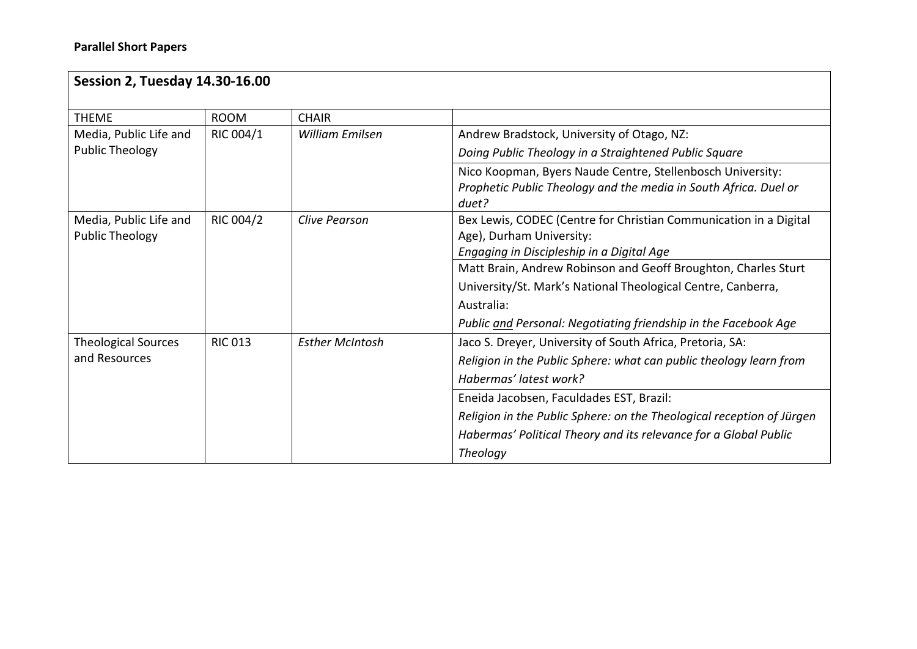| <b>Session 2, Tuesday 14.30-16.00</b> |                |                        |                                                                       |  |
|---------------------------------------|----------------|------------------------|-----------------------------------------------------------------------|--|
| <b>THEME</b>                          | <b>ROOM</b>    | <b>CHAIR</b>           |                                                                       |  |
| Media, Public Life and                | RIC 004/1      | William Emilsen        | Andrew Bradstock, University of Otago, NZ:                            |  |
| <b>Public Theology</b>                |                |                        | Doing Public Theology in a Straightened Public Square                 |  |
|                                       |                |                        | Nico Koopman, Byers Naude Centre, Stellenbosch University:            |  |
|                                       |                |                        | Prophetic Public Theology and the media in South Africa. Duel or      |  |
|                                       |                |                        | duet?                                                                 |  |
| Media, Public Life and                | RIC 004/2      | <b>Clive Pearson</b>   | Bex Lewis, CODEC (Centre for Christian Communication in a Digital     |  |
| <b>Public Theology</b>                |                |                        | Age), Durham University:                                              |  |
|                                       |                |                        | Engaging in Discipleship in a Digital Age                             |  |
|                                       |                |                        | Matt Brain, Andrew Robinson and Geoff Broughton, Charles Sturt        |  |
|                                       |                |                        | University/St. Mark's National Theological Centre, Canberra,          |  |
|                                       |                |                        | Australia:                                                            |  |
|                                       |                |                        | Public and Personal: Negotiating friendship in the Facebook Age       |  |
| <b>Theological Sources</b>            | <b>RIC 013</b> | <b>Esther McIntosh</b> | Jaco S. Dreyer, University of South Africa, Pretoria, SA:             |  |
| and Resources                         |                |                        | Religion in the Public Sphere: what can public theology learn from    |  |
|                                       |                |                        | Habermas' latest work?                                                |  |
|                                       |                |                        | Eneida Jacobsen, Faculdades EST, Brazil:                              |  |
|                                       |                |                        | Religion in the Public Sphere: on the Theological reception of Jürgen |  |
|                                       |                |                        | Habermas' Political Theory and its relevance for a Global Public      |  |
|                                       |                |                        | Theology                                                              |  |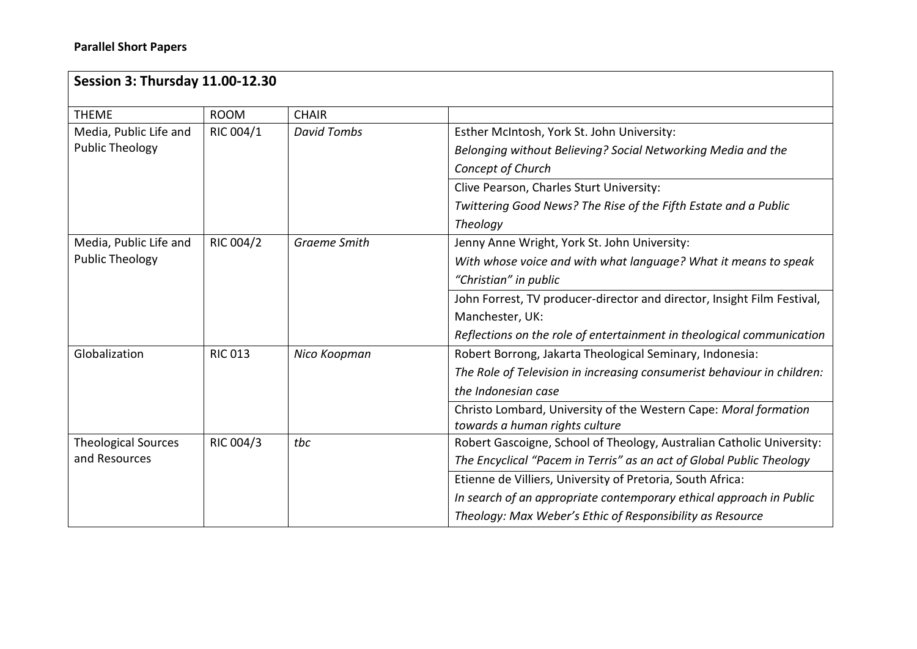| <b>Session 3: Thursday 11.00-12.30</b>      |                |                     |                                                                         |  |
|---------------------------------------------|----------------|---------------------|-------------------------------------------------------------------------|--|
| <b>THEME</b>                                | <b>ROOM</b>    | <b>CHAIR</b>        |                                                                         |  |
| Media, Public Life and                      | RIC 004/1      | <b>David Tombs</b>  | Esther McIntosh, York St. John University:                              |  |
| <b>Public Theology</b>                      |                |                     | Belonging without Believing? Social Networking Media and the            |  |
|                                             |                |                     | Concept of Church                                                       |  |
|                                             |                |                     | Clive Pearson, Charles Sturt University:                                |  |
|                                             |                |                     | Twittering Good News? The Rise of the Fifth Estate and a Public         |  |
|                                             |                |                     | Theology                                                                |  |
| Media, Public Life and                      | RIC 004/2      | <b>Graeme Smith</b> | Jenny Anne Wright, York St. John University:                            |  |
| <b>Public Theology</b>                      |                |                     | With whose voice and with what language? What it means to speak         |  |
|                                             |                |                     | "Christian" in public                                                   |  |
|                                             |                |                     | John Forrest, TV producer-director and director, Insight Film Festival, |  |
|                                             |                |                     | Manchester, UK:                                                         |  |
|                                             |                |                     | Reflections on the role of entertainment in theological communication   |  |
| Globalization                               | <b>RIC 013</b> | Nico Koopman        | Robert Borrong, Jakarta Theological Seminary, Indonesia:                |  |
|                                             |                |                     | The Role of Television in increasing consumerist behaviour in children: |  |
|                                             |                |                     | the Indonesian case                                                     |  |
|                                             |                |                     | Christo Lombard, University of the Western Cape: Moral formation        |  |
|                                             |                |                     | towards a human rights culture                                          |  |
| <b>Theological Sources</b><br>and Resources | RIC 004/3      | tbc                 | Robert Gascoigne, School of Theology, Australian Catholic University:   |  |
|                                             |                |                     | The Encyclical "Pacem in Terris" as an act of Global Public Theology    |  |
|                                             |                |                     | Etienne de Villiers, University of Pretoria, South Africa:              |  |
|                                             |                |                     | In search of an appropriate contemporary ethical approach in Public     |  |
|                                             |                |                     | Theology: Max Weber's Ethic of Responsibility as Resource               |  |